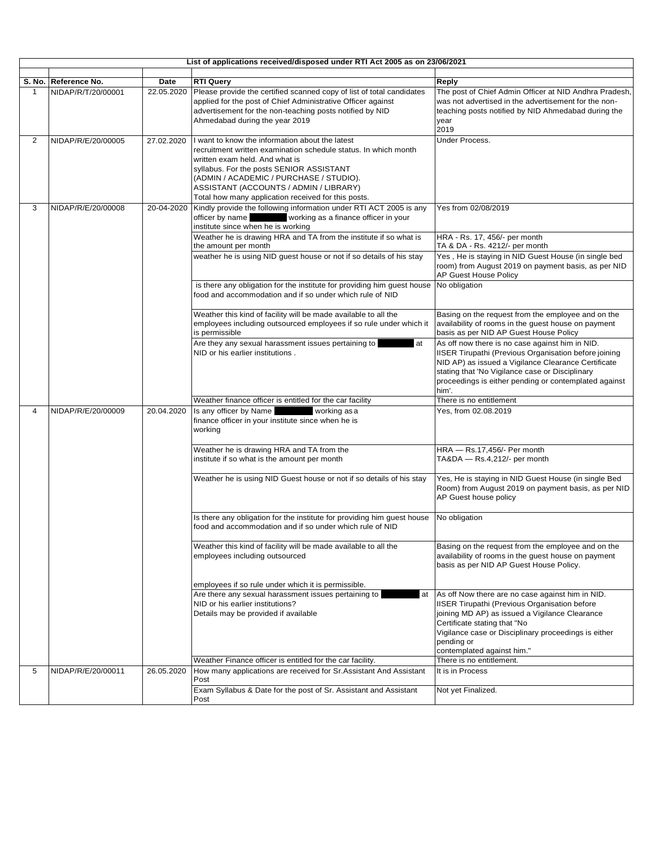|              |                                            |                    | List of applications received/disposed under RTI Act 2005 as on 23/06/2021                                                                                                                                                                                                                                                                                                                                                                                                   |                                                                                                                                                                                                                                                                                                                                                                                                                                             |  |
|--------------|--------------------------------------------|--------------------|------------------------------------------------------------------------------------------------------------------------------------------------------------------------------------------------------------------------------------------------------------------------------------------------------------------------------------------------------------------------------------------------------------------------------------------------------------------------------|---------------------------------------------------------------------------------------------------------------------------------------------------------------------------------------------------------------------------------------------------------------------------------------------------------------------------------------------------------------------------------------------------------------------------------------------|--|
|              |                                            |                    |                                                                                                                                                                                                                                                                                                                                                                                                                                                                              |                                                                                                                                                                                                                                                                                                                                                                                                                                             |  |
| $\mathbf{1}$ | S. No. Reference No.<br>NIDAP/R/T/20/00001 | Date<br>22.05.2020 | <b>RTI Query</b><br>Please provide the certified scanned copy of list of total candidates<br>applied for the post of Chief Administrative Officer against<br>advertisement for the non-teaching posts notified by NID<br>Ahmedabad during the year 2019                                                                                                                                                                                                                      | Reply<br>The post of Chief Admin Officer at NID Andhra Pradesh,<br>was not advertised in the advertisement for the non-<br>teaching posts notified by NID Ahmedabad during the<br>year<br>2019                                                                                                                                                                                                                                              |  |
| 2            | NIDAP/R/E/20/00005                         | 27.02.2020         | I want to know the information about the latest<br>recruitment written examination schedule status. In which month<br>written exam held. And what is<br>syllabus. For the posts SENIOR ASSISTANT<br>(ADMIN / ACADEMIC / PURCHASE / STUDIO).<br>ASSISTANT (ACCOUNTS / ADMIN / LIBRARY)<br>Total how many application received for this posts.                                                                                                                                 | Under Process.                                                                                                                                                                                                                                                                                                                                                                                                                              |  |
| 3            | NIDAP/R/E/20/00008                         | 20-04-2020         | Kindly provide the following information under RTI ACT 2005 is any<br>officer by name vorking as a finance officer in your<br>institute since when he is working<br>Weather he is drawing HRA and TA from the institute if so what is<br>the amount per month<br>weather he is using NID guest house or not if so details of his stay<br>is there any obligation for the institute for providing him guest house<br>food and accommodation and if so under which rule of NID | Yes from 02/08/2019<br>HRA - Rs. 17, 456/- per month<br>TA & DA - Rs. 4212/- per month<br>Yes, He is staying in NID Guest House (in single bed<br>room) from August 2019 on payment basis, as per NID<br>AP Guest House Policy<br>No obligation                                                                                                                                                                                             |  |
|              |                                            |                    | Weather this kind of facility will be made available to all the<br>employees including outsourced employees if so rule under which it<br>is permissible<br>Are they any sexual harassment issues pertaining to<br>at<br>NID or his earlier institutions.                                                                                                                                                                                                                     | Basing on the request from the employee and on the<br>availability of rooms in the quest house on payment<br>basis as per NID AP Guest House Policy<br>As off now there is no case against him in NID.<br>IISER Tirupathi (Previous Organisation before joining<br>NID AP) as issued a Vigilance Clearance Certificate<br>stating that 'No Vigilance case or Disciplinary<br>proceedings is either pending or contemplated against<br>him'. |  |
|              |                                            |                    | Weather finance officer is entitled for the car facility                                                                                                                                                                                                                                                                                                                                                                                                                     | There is no entitlement                                                                                                                                                                                                                                                                                                                                                                                                                     |  |
| 4            | NIDAP/R/E/20/00009                         | 20.04.2020         | Is any officer by Name<br>working as a<br>finance officer in your institute since when he is<br>working                                                                                                                                                                                                                                                                                                                                                                      | Yes, from 02.08.2019                                                                                                                                                                                                                                                                                                                                                                                                                        |  |
|              |                                            |                    | Weather he is drawing HRA and TA from the<br>institute if so what is the amount per month                                                                                                                                                                                                                                                                                                                                                                                    | HRA - Rs.17,456/- Per month<br>TA&DA - Rs.4,212/- per month                                                                                                                                                                                                                                                                                                                                                                                 |  |
|              |                                            |                    | Weather he is using NID Guest house or not if so details of his stay                                                                                                                                                                                                                                                                                                                                                                                                         | Yes, He is staying in NID Guest House (in single Bed<br>Room) from August 2019 on payment basis, as per NID<br>AP Guest house policy                                                                                                                                                                                                                                                                                                        |  |
|              |                                            |                    | Is there any obligation for the institute for providing him guest house<br>food and accommodation and if so under which rule of NID                                                                                                                                                                                                                                                                                                                                          | No obligation                                                                                                                                                                                                                                                                                                                                                                                                                               |  |
|              |                                            |                    | Weather this kind of facility will be made available to all the<br>employees including outsourced                                                                                                                                                                                                                                                                                                                                                                            | Basing on the request from the employee and on the<br>availability of rooms in the guest house on payment<br>basis as per NID AP Guest House Policy.                                                                                                                                                                                                                                                                                        |  |
|              |                                            |                    | employees if so rule under which it is permissible.                                                                                                                                                                                                                                                                                                                                                                                                                          |                                                                                                                                                                                                                                                                                                                                                                                                                                             |  |
|              |                                            |                    | Are there any sexual harassment issues pertaining to<br>at<br>NID or his earlier institutions?<br>Details may be provided if available                                                                                                                                                                                                                                                                                                                                       | As off Now there are no case against him in NID.<br><b>IISER Tirupathi (Previous Organisation before</b><br>joining MD AP) as issued a Vigilance Clearance<br>Certificate stating that "No<br>Vigilance case or Disciplinary proceedings is either<br>pending or<br>contemplated against him."                                                                                                                                              |  |
|              |                                            |                    | Weather Finance officer is entitled for the car facility.                                                                                                                                                                                                                                                                                                                                                                                                                    | There is no entitlement.                                                                                                                                                                                                                                                                                                                                                                                                                    |  |
| 5            | NIDAP/R/E/20/00011                         | 26.05.2020         | How many applications are received for Sr. Assistant And Assistant<br>Post<br>Exam Syllabus & Date for the post of Sr. Assistant and Assistant                                                                                                                                                                                                                                                                                                                               | It is in Process<br>Not yet Finalized.                                                                                                                                                                                                                                                                                                                                                                                                      |  |
|              |                                            |                    | Post                                                                                                                                                                                                                                                                                                                                                                                                                                                                         |                                                                                                                                                                                                                                                                                                                                                                                                                                             |  |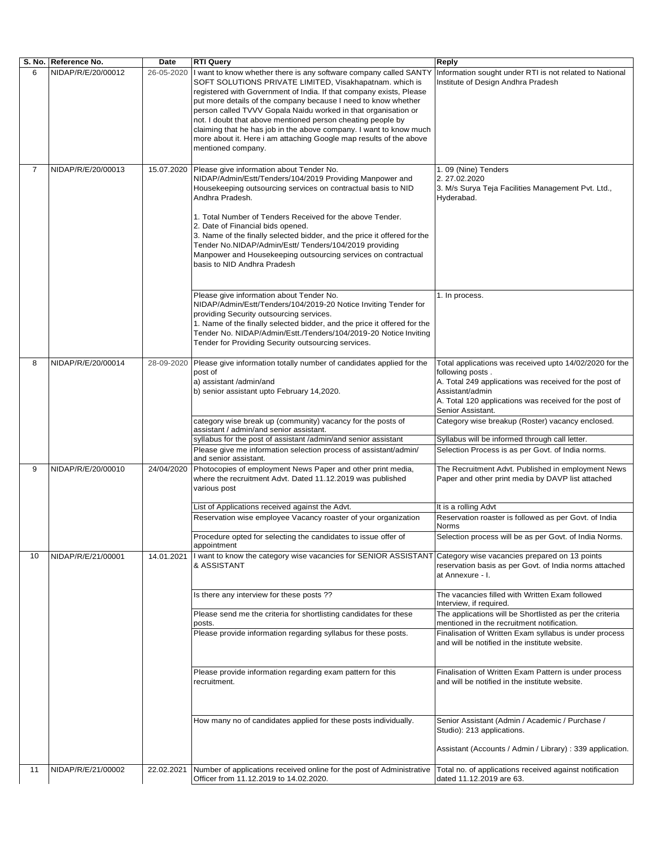|                | S. No. Reference No. | Date       | <b>RTI Query</b>                                                                                                                                                                                                                                                                                                                                                                                                                                                                                                                                                         | <b>Reply</b>                                                                                                                                                                                                                            |
|----------------|----------------------|------------|--------------------------------------------------------------------------------------------------------------------------------------------------------------------------------------------------------------------------------------------------------------------------------------------------------------------------------------------------------------------------------------------------------------------------------------------------------------------------------------------------------------------------------------------------------------------------|-----------------------------------------------------------------------------------------------------------------------------------------------------------------------------------------------------------------------------------------|
| 6              | NIDAP/R/E/20/00012   | 26-05-2020 | I want to know whether there is any software company called SANTY<br>SOFT SOLUTIONS PRIVATE LIMITED, Visakhapatnam. which is<br>registered with Government of India. If that company exists, Please<br>put more details of the company because I need to know whether<br>person called TVVV Gopala Naidu worked in that organisation or<br>not. I doubt that above mentioned person cheating people by<br>claiming that he has job in the above company. I want to know much<br>more about it. Here i am attaching Google map results of the above<br>mentioned company. | Information sought under RTI is not related to National<br>Institute of Design Andhra Pradesh                                                                                                                                           |
| $\overline{7}$ | NIDAP/R/E/20/00013   | 15.07.2020 | Please give information about Tender No.<br>NIDAP/Admin/Estt/Tenders/104/2019 Providing Manpower and<br>Housekeeping outsourcing services on contractual basis to NID<br>Andhra Pradesh.<br>1. Total Number of Tenders Received for the above Tender.<br>2. Date of Financial bids opened.<br>3. Name of the finally selected bidder, and the price it offered for the<br>Tender No.NIDAP/Admin/Estt/ Tenders/104/2019 providing<br>Manpower and Housekeeping outsourcing services on contractual<br>basis to NID Andhra Pradesh                                         | 1.09 (Nine) Tenders<br>2.27.02.2020<br>3. M/s Surya Teja Facilities Management Pvt. Ltd.,<br>Hyderabad.                                                                                                                                 |
|                |                      |            | Please give information about Tender No.<br>NIDAP/Admin/Estt/Tenders/104/2019-20 Notice Inviting Tender for<br>providing Security outsourcing services.<br>1. Name of the finally selected bidder, and the price it offered for the<br>Tender No. NIDAP/Admin/Estt./Tenders/104/2019-20 Notice Inviting<br>Tender for Providing Security outsourcing services.                                                                                                                                                                                                           | 1. In process.                                                                                                                                                                                                                          |
| 8              | NIDAP/R/E/20/00014   | 28-09-2020 | Please give information totally number of candidates applied for the<br>post of<br>a) assistant /admin/and<br>b) senior assistant upto February 14,2020.                                                                                                                                                                                                                                                                                                                                                                                                                 | Total applications was received upto 14/02/2020 for the<br>following posts.<br>A. Total 249 applications was received for the post of<br>Assistant/admin<br>A. Total 120 applications was received for the post of<br>Senior Assistant. |
|                |                      |            | category wise break up (community) vacancy for the posts of<br>assistant / admin/and senior assistant.                                                                                                                                                                                                                                                                                                                                                                                                                                                                   | Category wise breakup (Roster) vacancy enclosed.                                                                                                                                                                                        |
|                |                      |            | syllabus for the post of assistant /admin/and senior assistant                                                                                                                                                                                                                                                                                                                                                                                                                                                                                                           | Syllabus will be informed through call letter.                                                                                                                                                                                          |
|                |                      |            | Please give me information selection process of assistant/admin/<br>and senior assistant.                                                                                                                                                                                                                                                                                                                                                                                                                                                                                | Selection Process is as per Govt. of India norms.                                                                                                                                                                                       |
| 9              | NIDAP/R/E/20/00010   | 24/04/2020 | Photocopies of employment News Paper and other print media,<br>where the recruitment Advt. Dated 11.12.2019 was published<br>various post                                                                                                                                                                                                                                                                                                                                                                                                                                | The Recruitment Advt. Published in employment News<br>Paper and other print media by DAVP list attached                                                                                                                                 |
|                |                      |            | List of Applications received against the Advt.                                                                                                                                                                                                                                                                                                                                                                                                                                                                                                                          | It is a rolling Advt                                                                                                                                                                                                                    |
|                |                      |            | Reservation wise employee Vacancy roaster of your organization                                                                                                                                                                                                                                                                                                                                                                                                                                                                                                           | Reservation roaster is followed as per Govt. of India<br><b>Norms</b>                                                                                                                                                                   |
|                |                      |            | Procedure opted for selecting the candidates to issue offer of<br>appointment                                                                                                                                                                                                                                                                                                                                                                                                                                                                                            | Selection process will be as per Govt. of India Norms.                                                                                                                                                                                  |
| 10             | NIDAP/R/E/21/00001   | 14.01.2021 | want to know the category wise vacancies for SENIOR ASSISTANT<br>& ASSISTANT                                                                                                                                                                                                                                                                                                                                                                                                                                                                                             | Category wise vacancies prepared on 13 points<br>reservation basis as per Govt. of India norms attached<br>at Annexure - I.                                                                                                             |
|                |                      |            | Is there any interview for these posts ??                                                                                                                                                                                                                                                                                                                                                                                                                                                                                                                                | The vacancies filled with Written Exam followed<br>Interview, if required.                                                                                                                                                              |
|                |                      |            | Please send me the criteria for shortlisting candidates for these<br>posts.                                                                                                                                                                                                                                                                                                                                                                                                                                                                                              | The applications will be Shortlisted as per the criteria<br>mentioned in the recruitment notification.                                                                                                                                  |
|                |                      |            | Please provide information regarding syllabus for these posts.                                                                                                                                                                                                                                                                                                                                                                                                                                                                                                           | Finalisation of Written Exam syllabus is under process<br>and will be notified in the institute website.                                                                                                                                |
|                |                      |            | Please provide information regarding exam pattern for this<br>recruitment.                                                                                                                                                                                                                                                                                                                                                                                                                                                                                               | Finalisation of Written Exam Pattern is under process<br>and will be notified in the institute website.                                                                                                                                 |
|                |                      |            | How many no of candidates applied for these posts individually.                                                                                                                                                                                                                                                                                                                                                                                                                                                                                                          | Senior Assistant (Admin / Academic / Purchase /<br>Studio): 213 applications.                                                                                                                                                           |
|                |                      |            |                                                                                                                                                                                                                                                                                                                                                                                                                                                                                                                                                                          | Assistant (Accounts / Admin / Library) : 339 application.                                                                                                                                                                               |
| 11             | NIDAP/R/E/21/00002   | 22.02.2021 | Number of applications received online for the post of Administrative<br>Officer from 11.12.2019 to 14.02.2020.                                                                                                                                                                                                                                                                                                                                                                                                                                                          | Total no. of applications received against notification<br>dated 11.12.2019 are 63.                                                                                                                                                     |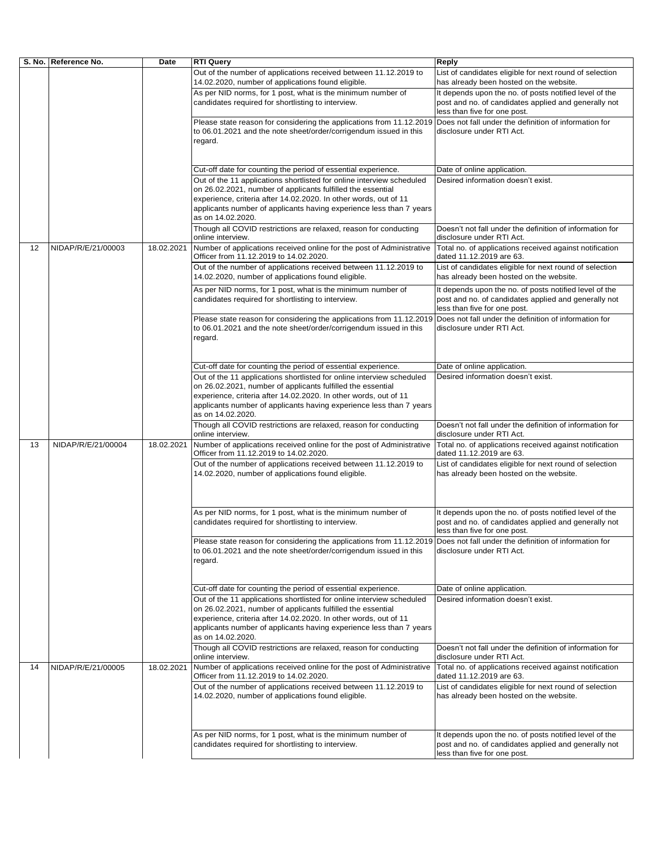|    | S. No.   Reference No. | Date       | <b>RTI Query</b>                                                                                                                                                                                                                                                                | Reply                                                                                                                                          |
|----|------------------------|------------|---------------------------------------------------------------------------------------------------------------------------------------------------------------------------------------------------------------------------------------------------------------------------------|------------------------------------------------------------------------------------------------------------------------------------------------|
|    |                        |            | Out of the number of applications received between 11.12.2019 to<br>14.02.2020, number of applications found eligible.                                                                                                                                                          | List of candidates eligible for next round of selection<br>has already been hosted on the website.                                             |
|    |                        |            | As per NID norms, for 1 post, what is the minimum number of<br>candidates required for shortlisting to interview.                                                                                                                                                               | It depends upon the no. of posts notified level of the<br>post and no. of candidates applied and generally not<br>less than five for one post. |
|    |                        |            | Please state reason for considering the applications from 11.12.2019<br>to 06.01.2021 and the note sheet/order/corrigendum issued in this<br>regard.                                                                                                                            | Does not fall under the definition of information for<br>disclosure under RTI Act.                                                             |
|    |                        |            | Cut-off date for counting the period of essential experience.                                                                                                                                                                                                                   | Date of online application.                                                                                                                    |
|    |                        |            | Out of the 11 applications shortlisted for online interview scheduled                                                                                                                                                                                                           | Desired information doesn't exist.                                                                                                             |
|    |                        |            | on 26.02.2021, number of applicants fulfilled the essential<br>experience, criteria after 14.02.2020. In other words, out of 11<br>applicants number of applicants having experience less than 7 years                                                                          |                                                                                                                                                |
|    |                        |            | as on 14.02.2020.                                                                                                                                                                                                                                                               |                                                                                                                                                |
|    |                        |            | Though all COVID restrictions are relaxed, reason for conducting<br>online interview.                                                                                                                                                                                           | Doesn't not fall under the definition of information for<br>disclosure under RTI Act.                                                          |
| 12 | NIDAP/R/E/21/00003     | 18.02.2021 | Number of applications received online for the post of Administrative<br>Officer from 11.12.2019 to 14.02.2020.                                                                                                                                                                 | Total no. of applications received against notification<br>dated 11.12.2019 are 63.                                                            |
|    |                        |            | Out of the number of applications received between 11.12.2019 to<br>14.02.2020, number of applications found eligible.                                                                                                                                                          | List of candidates eligible for next round of selection<br>has already been hosted on the website.                                             |
|    |                        |            | As per NID norms, for 1 post, what is the minimum number of<br>candidates required for shortlisting to interview.                                                                                                                                                               | It depends upon the no. of posts notified level of the<br>post and no. of candidates applied and generally not<br>less than five for one post. |
|    |                        |            | Please state reason for considering the applications from 11.12.2019<br>to 06.01.2021 and the note sheet/order/corrigendum issued in this<br>regard.                                                                                                                            | Does not fall under the definition of information for<br>disclosure under RTI Act.                                                             |
|    |                        |            | Cut-off date for counting the period of essential experience.                                                                                                                                                                                                                   | Date of online application.                                                                                                                    |
|    |                        |            | Out of the 11 applications shortlisted for online interview scheduled                                                                                                                                                                                                           | Desired information doesn't exist.                                                                                                             |
|    |                        |            | on 26.02.2021, number of applicants fulfilled the essential<br>experience, criteria after 14.02.2020. In other words, out of 11<br>applicants number of applicants having experience less than 7 years<br>as on 14.02.2020.                                                     |                                                                                                                                                |
|    |                        |            | Though all COVID restrictions are relaxed, reason for conducting<br>online interview.                                                                                                                                                                                           | Doesn't not fall under the definition of information for<br>disclosure under RTI Act.                                                          |
| 13 | NIDAP/R/E/21/00004     | 18.02.2021 | Number of applications received online for the post of Administrative<br>Officer from 11.12.2019 to 14.02.2020.                                                                                                                                                                 | Total no. of applications received against notification<br>dated 11.12.2019 are 63.                                                            |
|    |                        |            | Out of the number of applications received between 11.12.2019 to<br>14.02.2020, number of applications found eligible.                                                                                                                                                          | List of candidates eligible for next round of selection<br>has already been hosted on the website.                                             |
|    |                        |            | As per NID norms, for 1 post, what is the minimum number of<br>candidates required for shortlisting to interview.                                                                                                                                                               | It depends upon the no. of posts notified level of the<br>post and no. of candidates applied and generally not<br>less than five for one post. |
|    |                        |            | Please state reason for considering the applications from 11.12.2019 Does not fall under the definition of information for<br>to 06.01.2021 and the note sheet/order/corrigendum issued in this<br>regard.                                                                      | disclosure under RTI Act.                                                                                                                      |
|    |                        |            | Cut-off date for counting the period of essential experience.                                                                                                                                                                                                                   | Date of online application.                                                                                                                    |
|    |                        |            | Out of the 11 applications shortlisted for online interview scheduled<br>on 26.02.2021, number of applicants fulfilled the essential<br>experience, criteria after 14.02.2020. In other words, out of 11<br>applicants number of applicants having experience less than 7 years | Desired information doesn't exist.                                                                                                             |
|    |                        |            | as on 14.02.2020.<br>Though all COVID restrictions are relaxed, reason for conducting<br>online interview.                                                                                                                                                                      | Doesn't not fall under the definition of information for<br>disclosure under RTI Act.                                                          |
| 14 | NIDAP/R/E/21/00005     | 18.02.2021 | Number of applications received online for the post of Administrative<br>Officer from 11.12.2019 to 14.02.2020.                                                                                                                                                                 | Total no. of applications received against notification<br>dated 11.12.2019 are 63.                                                            |
|    |                        |            | Out of the number of applications received between 11.12.2019 to<br>14.02.2020, number of applications found eligible.                                                                                                                                                          | List of candidates eligible for next round of selection<br>has already been hosted on the website.                                             |
|    |                        |            | As per NID norms, for 1 post, what is the minimum number of<br>candidates required for shortlisting to interview.                                                                                                                                                               | It depends upon the no. of posts notified level of the<br>post and no. of candidates applied and generally not<br>less than five for one post. |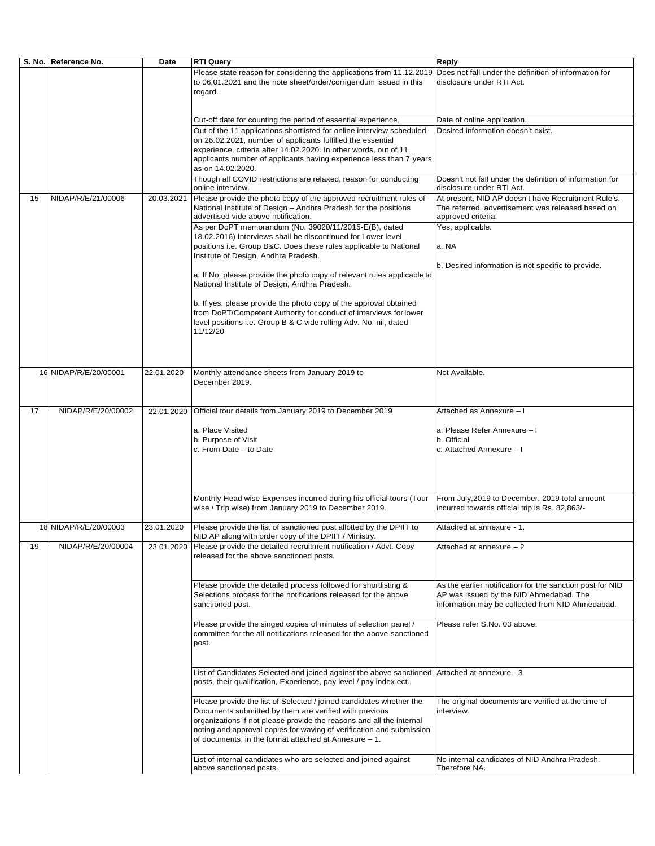|    | S. No. Reference No.  | Date       | <b>RTI Query</b>                                                                                                                                                             | Reply                                                                                                                          |
|----|-----------------------|------------|------------------------------------------------------------------------------------------------------------------------------------------------------------------------------|--------------------------------------------------------------------------------------------------------------------------------|
|    |                       |            | Please state reason for considering the applications from 11.12.2019<br>to 06.01.2021 and the note sheet/order/corrigendum issued in this<br>regard.                         | Does not fall under the definition of information for<br>disclosure under RTI Act.                                             |
|    |                       |            | Cut-off date for counting the period of essential experience.                                                                                                                | Date of online application.                                                                                                    |
|    |                       |            | Out of the 11 applications shortlisted for online interview scheduled                                                                                                        | Desired information doesn't exist.                                                                                             |
|    |                       |            | on 26.02.2021, number of applicants fulfilled the essential                                                                                                                  |                                                                                                                                |
|    |                       |            | experience, criteria after 14.02.2020. In other words, out of 11<br>applicants number of applicants having experience less than 7 years                                      |                                                                                                                                |
|    |                       |            | as on 14.02.2020.                                                                                                                                                            |                                                                                                                                |
|    |                       |            | Though all COVID restrictions are relaxed, reason for conducting<br>online interview.                                                                                        | Doesn't not fall under the definition of information for<br>disclosure under RTI Act.                                          |
| 15 | NIDAP/R/E/21/00006    | 20.03.2021 | Please provide the photo copy of the approved recruitment rules of<br>National Institute of Design - Andhra Pradesh for the positions<br>advertised vide above notification. | At present, NID AP doesn't have Recruitment Rule's.<br>The referred, advertisement was released based on<br>approved criteria. |
|    |                       |            | As per DoPT memorandum (No. 39020/11/2015-E(B), dated                                                                                                                        | Yes, applicable.                                                                                                               |
|    |                       |            | 18.02.2016) Interviews shall be discontinued for Lower level<br>positions i.e. Group B&C. Does these rules applicable to National                                            | a. NA                                                                                                                          |
|    |                       |            | Institute of Design, Andhra Pradesh.                                                                                                                                         |                                                                                                                                |
|    |                       |            |                                                                                                                                                                              | b. Desired information is not specific to provide.                                                                             |
|    |                       |            | a. If No, please provide the photo copy of relevant rules applicable to<br>National Institute of Design, Andhra Pradesh.                                                     |                                                                                                                                |
|    |                       |            | b. If yes, please provide the photo copy of the approval obtained                                                                                                            |                                                                                                                                |
|    |                       |            | from DoPT/Competent Authority for conduct of interviews for lower<br>level positions i.e. Group B & C vide rolling Adv. No. nil, dated                                       |                                                                                                                                |
|    |                       |            | 11/12/20                                                                                                                                                                     |                                                                                                                                |
|    |                       |            |                                                                                                                                                                              |                                                                                                                                |
|    |                       |            |                                                                                                                                                                              |                                                                                                                                |
|    | 16 NIDAP/R/E/20/00001 | 22.01.2020 | Monthly attendance sheets from January 2019 to                                                                                                                               | Not Available.                                                                                                                 |
|    |                       |            | December 2019.                                                                                                                                                               |                                                                                                                                |
|    |                       |            |                                                                                                                                                                              |                                                                                                                                |
| 17 | NIDAP/R/E/20/00002    | 22.01.2020 | Official tour details from January 2019 to December 2019                                                                                                                     | Attached as Annexure - I                                                                                                       |
|    |                       |            |                                                                                                                                                                              |                                                                                                                                |
|    |                       |            | a. Place Visited<br>b. Purpose of Visit                                                                                                                                      | a. Please Refer Annexure - I<br>b. Official                                                                                    |
|    |                       |            | c. From Date - to Date                                                                                                                                                       | c. Attached Annexure - I                                                                                                       |
|    |                       |            |                                                                                                                                                                              |                                                                                                                                |
|    |                       |            |                                                                                                                                                                              |                                                                                                                                |
|    |                       |            |                                                                                                                                                                              |                                                                                                                                |
|    |                       |            | Monthly Head wise Expenses incurred during his official tours (Tour<br>wise / Trip wise) from January 2019 to December 2019.                                                 | From July, 2019 to December, 2019 total amount<br>incurred towards official trip is Rs. 82,863/-                               |
|    |                       |            |                                                                                                                                                                              |                                                                                                                                |
|    | 18 NIDAP/R/E/20/00003 | 23.01.2020 | Please provide the list of sanctioned post allotted by the DPIIT to<br>NID AP along with order copy of the DPIIT / Ministry.                                                 | Attached at annexure - 1.                                                                                                      |
| 19 | NIDAP/R/E/20/00004    | 23.01.2020 | Please provide the detailed recruitment notification / Advt. Copy                                                                                                            | Attached at annexure - 2                                                                                                       |
|    |                       |            | released for the above sanctioned posts.                                                                                                                                     |                                                                                                                                |
|    |                       |            |                                                                                                                                                                              |                                                                                                                                |
|    |                       |            | Please provide the detailed process followed for shortlisting &                                                                                                              | As the earlier notification for the sanction post for NID                                                                      |
|    |                       |            | Selections process for the notifications released for the above<br>sanctioned post.                                                                                          | AP was issued by the NID Ahmedabad. The<br>information may be collected from NID Ahmedabad.                                    |
|    |                       |            |                                                                                                                                                                              |                                                                                                                                |
|    |                       |            | Please provide the singed copies of minutes of selection panel /                                                                                                             | Please refer S.No. 03 above.                                                                                                   |
|    |                       |            | committee for the all notifications released for the above sanctioned<br>post.                                                                                               |                                                                                                                                |
|    |                       |            |                                                                                                                                                                              |                                                                                                                                |
|    |                       |            | List of Candidates Selected and joined against the above sanctioned                                                                                                          | Attached at annexure - 3                                                                                                       |
|    |                       |            | posts, their qualification, Experience, pay level / pay index ect.,                                                                                                          |                                                                                                                                |
|    |                       |            | Please provide the list of Selected / joined candidates whether the                                                                                                          | The original documents are verified at the time of                                                                             |
|    |                       |            | Documents submitted by them are verified with previous                                                                                                                       | interview.                                                                                                                     |
|    |                       |            | organizations if not please provide the reasons and all the internal<br>noting and approval copies for waving of verification and submission                                 |                                                                                                                                |
|    |                       |            | of documents, in the format attached at Annexure $-1$ .                                                                                                                      |                                                                                                                                |
|    |                       |            |                                                                                                                                                                              |                                                                                                                                |
|    |                       |            | List of internal candidates who are selected and joined against<br>above sanctioned posts.                                                                                   | No internal candidates of NID Andhra Pradesh.<br>Therefore NA.                                                                 |
|    |                       |            |                                                                                                                                                                              |                                                                                                                                |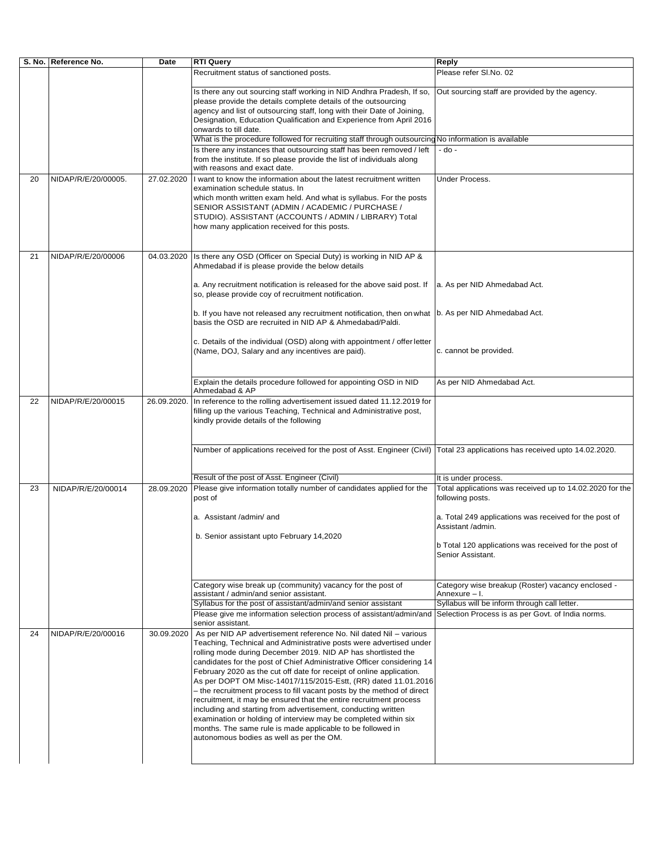|                    |                                           | Recruitment status of sanctioned posts.                                                                                                     | Please refer SI.No. 02                                                                                                                                                                                                                                                                                                                                                                                                                                                                                                                                                                                                                                                                                                                                                                                                                                                                                                                                                                                                                                                                                                                                                                                                                                                                                                                                                                                                                                                                                                                                                                                                                                                                                                                                                                                                                                                                                                                                                                                                                                                                                                                                                                                                                                                                                                                                                                                                                                                                                                                                                                                                                                                                                                                                                                                                                                                                             |
|--------------------|-------------------------------------------|---------------------------------------------------------------------------------------------------------------------------------------------|----------------------------------------------------------------------------------------------------------------------------------------------------------------------------------------------------------------------------------------------------------------------------------------------------------------------------------------------------------------------------------------------------------------------------------------------------------------------------------------------------------------------------------------------------------------------------------------------------------------------------------------------------------------------------------------------------------------------------------------------------------------------------------------------------------------------------------------------------------------------------------------------------------------------------------------------------------------------------------------------------------------------------------------------------------------------------------------------------------------------------------------------------------------------------------------------------------------------------------------------------------------------------------------------------------------------------------------------------------------------------------------------------------------------------------------------------------------------------------------------------------------------------------------------------------------------------------------------------------------------------------------------------------------------------------------------------------------------------------------------------------------------------------------------------------------------------------------------------------------------------------------------------------------------------------------------------------------------------------------------------------------------------------------------------------------------------------------------------------------------------------------------------------------------------------------------------------------------------------------------------------------------------------------------------------------------------------------------------------------------------------------------------------------------------------------------------------------------------------------------------------------------------------------------------------------------------------------------------------------------------------------------------------------------------------------------------------------------------------------------------------------------------------------------------------------------------------------------------------------------------------------------------|
|                    |                                           |                                                                                                                                             | Out sourcing staff are provided by the agency.                                                                                                                                                                                                                                                                                                                                                                                                                                                                                                                                                                                                                                                                                                                                                                                                                                                                                                                                                                                                                                                                                                                                                                                                                                                                                                                                                                                                                                                                                                                                                                                                                                                                                                                                                                                                                                                                                                                                                                                                                                                                                                                                                                                                                                                                                                                                                                                                                                                                                                                                                                                                                                                                                                                                                                                                                                                     |
|                    |                                           |                                                                                                                                             |                                                                                                                                                                                                                                                                                                                                                                                                                                                                                                                                                                                                                                                                                                                                                                                                                                                                                                                                                                                                                                                                                                                                                                                                                                                                                                                                                                                                                                                                                                                                                                                                                                                                                                                                                                                                                                                                                                                                                                                                                                                                                                                                                                                                                                                                                                                                                                                                                                                                                                                                                                                                                                                                                                                                                                                                                                                                                                    |
|                    |                                           |                                                                                                                                             | - do -                                                                                                                                                                                                                                                                                                                                                                                                                                                                                                                                                                                                                                                                                                                                                                                                                                                                                                                                                                                                                                                                                                                                                                                                                                                                                                                                                                                                                                                                                                                                                                                                                                                                                                                                                                                                                                                                                                                                                                                                                                                                                                                                                                                                                                                                                                                                                                                                                                                                                                                                                                                                                                                                                                                                                                                                                                                                                             |
|                    |                                           |                                                                                                                                             | Under Process.                                                                                                                                                                                                                                                                                                                                                                                                                                                                                                                                                                                                                                                                                                                                                                                                                                                                                                                                                                                                                                                                                                                                                                                                                                                                                                                                                                                                                                                                                                                                                                                                                                                                                                                                                                                                                                                                                                                                                                                                                                                                                                                                                                                                                                                                                                                                                                                                                                                                                                                                                                                                                                                                                                                                                                                                                                                                                     |
| NIDAP/R/E/20/00006 | 04.03.2020                                | Ahmedabad if is please provide the below details                                                                                            |                                                                                                                                                                                                                                                                                                                                                                                                                                                                                                                                                                                                                                                                                                                                                                                                                                                                                                                                                                                                                                                                                                                                                                                                                                                                                                                                                                                                                                                                                                                                                                                                                                                                                                                                                                                                                                                                                                                                                                                                                                                                                                                                                                                                                                                                                                                                                                                                                                                                                                                                                                                                                                                                                                                                                                                                                                                                                                    |
|                    |                                           | a. Any recruitment notification is released for the above said post. If                                                                     | a. As per NID Ahmedabad Act.                                                                                                                                                                                                                                                                                                                                                                                                                                                                                                                                                                                                                                                                                                                                                                                                                                                                                                                                                                                                                                                                                                                                                                                                                                                                                                                                                                                                                                                                                                                                                                                                                                                                                                                                                                                                                                                                                                                                                                                                                                                                                                                                                                                                                                                                                                                                                                                                                                                                                                                                                                                                                                                                                                                                                                                                                                                                       |
|                    |                                           |                                                                                                                                             |                                                                                                                                                                                                                                                                                                                                                                                                                                                                                                                                                                                                                                                                                                                                                                                                                                                                                                                                                                                                                                                                                                                                                                                                                                                                                                                                                                                                                                                                                                                                                                                                                                                                                                                                                                                                                                                                                                                                                                                                                                                                                                                                                                                                                                                                                                                                                                                                                                                                                                                                                                                                                                                                                                                                                                                                                                                                                                    |
|                    |                                           | (Name, DOJ, Salary and any incentives are paid).                                                                                            | c. cannot be provided.                                                                                                                                                                                                                                                                                                                                                                                                                                                                                                                                                                                                                                                                                                                                                                                                                                                                                                                                                                                                                                                                                                                                                                                                                                                                                                                                                                                                                                                                                                                                                                                                                                                                                                                                                                                                                                                                                                                                                                                                                                                                                                                                                                                                                                                                                                                                                                                                                                                                                                                                                                                                                                                                                                                                                                                                                                                                             |
|                    |                                           | Ahmedabad & AP                                                                                                                              | As per NID Ahmedabad Act.                                                                                                                                                                                                                                                                                                                                                                                                                                                                                                                                                                                                                                                                                                                                                                                                                                                                                                                                                                                                                                                                                                                                                                                                                                                                                                                                                                                                                                                                                                                                                                                                                                                                                                                                                                                                                                                                                                                                                                                                                                                                                                                                                                                                                                                                                                                                                                                                                                                                                                                                                                                                                                                                                                                                                                                                                                                                          |
|                    |                                           |                                                                                                                                             |                                                                                                                                                                                                                                                                                                                                                                                                                                                                                                                                                                                                                                                                                                                                                                                                                                                                                                                                                                                                                                                                                                                                                                                                                                                                                                                                                                                                                                                                                                                                                                                                                                                                                                                                                                                                                                                                                                                                                                                                                                                                                                                                                                                                                                                                                                                                                                                                                                                                                                                                                                                                                                                                                                                                                                                                                                                                                                    |
|                    |                                           |                                                                                                                                             |                                                                                                                                                                                                                                                                                                                                                                                                                                                                                                                                                                                                                                                                                                                                                                                                                                                                                                                                                                                                                                                                                                                                                                                                                                                                                                                                                                                                                                                                                                                                                                                                                                                                                                                                                                                                                                                                                                                                                                                                                                                                                                                                                                                                                                                                                                                                                                                                                                                                                                                                                                                                                                                                                                                                                                                                                                                                                                    |
|                    |                                           |                                                                                                                                             | It is under process.                                                                                                                                                                                                                                                                                                                                                                                                                                                                                                                                                                                                                                                                                                                                                                                                                                                                                                                                                                                                                                                                                                                                                                                                                                                                                                                                                                                                                                                                                                                                                                                                                                                                                                                                                                                                                                                                                                                                                                                                                                                                                                                                                                                                                                                                                                                                                                                                                                                                                                                                                                                                                                                                                                                                                                                                                                                                               |
| NIDAP/R/E/20/00014 | 28.09.2020                                |                                                                                                                                             | Total applications was received up to 14.02.2020 for the<br>following posts.                                                                                                                                                                                                                                                                                                                                                                                                                                                                                                                                                                                                                                                                                                                                                                                                                                                                                                                                                                                                                                                                                                                                                                                                                                                                                                                                                                                                                                                                                                                                                                                                                                                                                                                                                                                                                                                                                                                                                                                                                                                                                                                                                                                                                                                                                                                                                                                                                                                                                                                                                                                                                                                                                                                                                                                                                       |
|                    |                                           |                                                                                                                                             | a. Total 249 applications was received for the post of<br>Assistant /admin.                                                                                                                                                                                                                                                                                                                                                                                                                                                                                                                                                                                                                                                                                                                                                                                                                                                                                                                                                                                                                                                                                                                                                                                                                                                                                                                                                                                                                                                                                                                                                                                                                                                                                                                                                                                                                                                                                                                                                                                                                                                                                                                                                                                                                                                                                                                                                                                                                                                                                                                                                                                                                                                                                                                                                                                                                        |
|                    |                                           |                                                                                                                                             | b Total 120 applications was received for the post of<br>Senior Assistant.                                                                                                                                                                                                                                                                                                                                                                                                                                                                                                                                                                                                                                                                                                                                                                                                                                                                                                                                                                                                                                                                                                                                                                                                                                                                                                                                                                                                                                                                                                                                                                                                                                                                                                                                                                                                                                                                                                                                                                                                                                                                                                                                                                                                                                                                                                                                                                                                                                                                                                                                                                                                                                                                                                                                                                                                                         |
|                    |                                           |                                                                                                                                             | Category wise breakup (Roster) vacancy enclosed -<br>Annexure - I.                                                                                                                                                                                                                                                                                                                                                                                                                                                                                                                                                                                                                                                                                                                                                                                                                                                                                                                                                                                                                                                                                                                                                                                                                                                                                                                                                                                                                                                                                                                                                                                                                                                                                                                                                                                                                                                                                                                                                                                                                                                                                                                                                                                                                                                                                                                                                                                                                                                                                                                                                                                                                                                                                                                                                                                                                                 |
|                    |                                           |                                                                                                                                             | Syllabus will be inform through call letter.                                                                                                                                                                                                                                                                                                                                                                                                                                                                                                                                                                                                                                                                                                                                                                                                                                                                                                                                                                                                                                                                                                                                                                                                                                                                                                                                                                                                                                                                                                                                                                                                                                                                                                                                                                                                                                                                                                                                                                                                                                                                                                                                                                                                                                                                                                                                                                                                                                                                                                                                                                                                                                                                                                                                                                                                                                                       |
|                    |                                           |                                                                                                                                             | Selection Process is as per Govt. of India norms.                                                                                                                                                                                                                                                                                                                                                                                                                                                                                                                                                                                                                                                                                                                                                                                                                                                                                                                                                                                                                                                                                                                                                                                                                                                                                                                                                                                                                                                                                                                                                                                                                                                                                                                                                                                                                                                                                                                                                                                                                                                                                                                                                                                                                                                                                                                                                                                                                                                                                                                                                                                                                                                                                                                                                                                                                                                  |
| NIDAP/R/E/20/00016 | 30.09.2020                                | As per NID AP advertisement reference No. Nil dated Nil - various<br>- the recruitment process to fill vacant posts by the method of direct |                                                                                                                                                                                                                                                                                                                                                                                                                                                                                                                                                                                                                                                                                                                                                                                                                                                                                                                                                                                                                                                                                                                                                                                                                                                                                                                                                                                                                                                                                                                                                                                                                                                                                                                                                                                                                                                                                                                                                                                                                                                                                                                                                                                                                                                                                                                                                                                                                                                                                                                                                                                                                                                                                                                                                                                                                                                                                                    |
|                    | NIDAP/R/E/20/00005.<br>NIDAP/R/E/20/00015 | 27.02.2020<br>26.09.2020.                                                                                                                   | Is there any out sourcing staff working in NID Andhra Pradesh, If so,<br>please provide the details complete details of the outsourcing<br>agency and list of outsourcing staff, long with their Date of Joining,<br>Designation, Education Qualification and Experience from April 2016<br>onwards to till date.<br>What is the procedure followed for recruiting staff through outsourcing No information is available<br>Is there any instances that outsourcing staff has been removed / left<br>from the institute. If so please provide the list of individuals along<br>with reasons and exact date.<br>I want to know the information about the latest recruitment written<br>examination schedule status. In<br>which month written exam held. And what is syllabus. For the posts<br>SENIOR ASSISTANT (ADMIN / ACADEMIC / PURCHASE /<br>STUDIO). ASSISTANT (ACCOUNTS / ADMIN / LIBRARY) Total<br>how many application received for this posts.<br>Is there any OSD (Officer on Special Duty) is working in NID AP &<br>so, please provide coy of recruitment notification.<br>b. If you have not released any recruitment notification, then on what  b. As per NID Ahmedabad Act.<br>basis the OSD are recruited in NID AP & Ahmedabad/Paldi.<br>c. Details of the individual (OSD) along with appointment / offer letter<br>Explain the details procedure followed for appointing OSD in NID<br>In reference to the rolling advertisement issued dated 11.12.2019 for<br>filling up the various Teaching, Technical and Administrative post,<br>kindly provide details of the following<br>Number of applications received for the post of Asst. Engineer (Civil) Total 23 applications has received upto 14.02.2020.<br>Result of the post of Asst. Engineer (Civil)<br>Please give information totally number of candidates applied for the<br>post of<br>a. Assistant /admin/ and<br>b. Senior assistant upto February 14,2020<br>Category wise break up (community) vacancy for the post of<br>assistant / admin/and senior assistant.<br>Syllabus for the post of assistant/admin/and senior assistant<br>Please give me information selection process of assistant/admin/and<br>senior assistant.<br>Teaching, Technical and Administrative posts were advertised under<br>rolling mode during December 2019. NID AP has shortlisted the<br>candidates for the post of Chief Administrative Officer considering 14<br>February 2020 as the cut off date for receipt of online application.<br>As per DOPT OM Misc-14017/115/2015-Estt, (RR) dated 11.01.2016<br>recruitment, it may be ensured that the entire recruitment process<br>including and starting from advertisement, conducting written<br>examination or holding of interview may be completed within six<br>months. The same rule is made applicable to be followed in<br>autonomous bodies as well as per the OM. |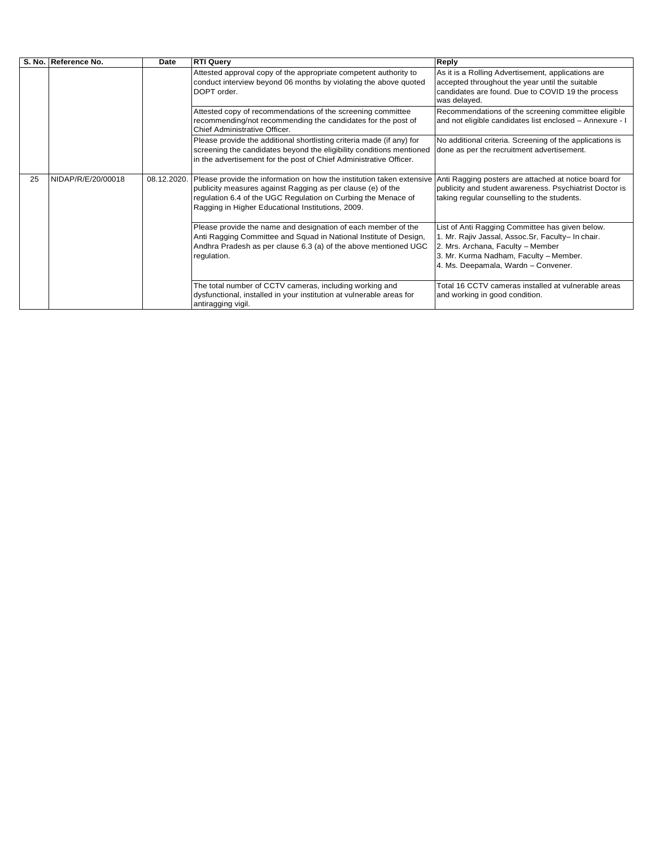|    | S. No. Reference No. | Date        | <b>RTI Query</b>                                                                                                                                                                                                                                           | Reply                                                                                                                                                                                                                      |
|----|----------------------|-------------|------------------------------------------------------------------------------------------------------------------------------------------------------------------------------------------------------------------------------------------------------------|----------------------------------------------------------------------------------------------------------------------------------------------------------------------------------------------------------------------------|
|    |                      |             | Attested approval copy of the appropriate competent authority to<br>conduct interview beyond 06 months by violating the above quoted<br>DOPT order.                                                                                                        | As it is a Rolling Advertisement, applications are<br>accepted throughout the year until the suitable<br>candidates are found. Due to COVID 19 the process<br>was delayed.                                                 |
|    |                      |             | Attested copy of recommendations of the screening committee<br>recommending/not recommending the candidates for the post of<br>Chief Administrative Officer.                                                                                               | Recommendations of the screening committee eligible<br>and not eligible candidates list enclosed - Annexure - I                                                                                                            |
|    |                      |             | Please provide the additional shortlisting criteria made (if any) for<br>screening the candidates beyond the eligibility conditions mentioned<br>in the advertisement for the post of Chief Administrative Officer.                                        | No additional criteria. Screening of the applications is<br>done as per the recruitment advertisement.                                                                                                                     |
| 25 | NIDAP/R/E/20/00018   | 08.12.2020. | Please provide the information on how the institution taken extensive<br>publicity measures against Ragging as per clause (e) of the<br>regulation 6.4 of the UGC Regulation on Curbing the Menace of<br>Ragging in Higher Educational Institutions, 2009. | Anti Ragging posters are attached at notice board for<br>publicity and student awareness. Psychiatrist Doctor is<br>taking regular counselling to the students.                                                            |
|    |                      |             | Please provide the name and designation of each member of the<br>Anti Ragging Committee and Squad in National Institute of Design,<br>Andhra Pradesh as per clause 6.3 (a) of the above mentioned UGC<br>regulation.                                       | List of Anti Ragging Committee has given below.<br>1. Mr. Rajiv Jassal, Assoc.Sr, Faculty- In chair.<br>2. Mrs. Archana, Faculty - Member<br>3. Mr. Kurma Nadham, Faculty - Member.<br>4. Ms. Deepamala, Wardn - Convener. |
|    |                      |             | The total number of CCTV cameras, including working and<br>dysfunctional, installed in your institution at vulnerable areas for<br>antiragging vigil.                                                                                                      | Total 16 CCTV cameras installed at vulnerable areas<br>and working in good condition.                                                                                                                                      |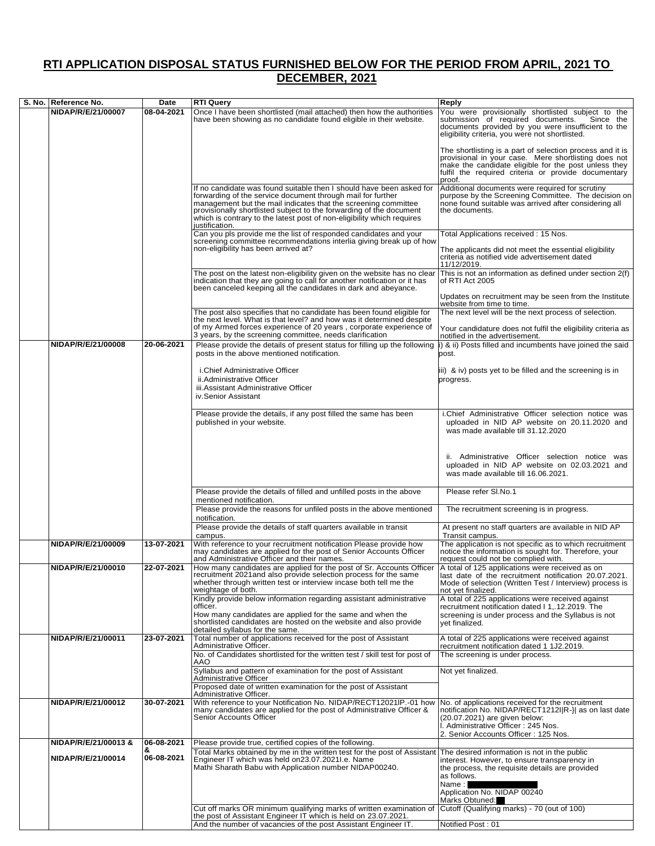## **RTI APPLICATION DISPOSAL STATUS FURNISHED BELOW FOR THE PERIOD FROM APRIL, 2021 TO DECEMBER, 2021**

| S. No. Reference No. | Date       | <b>RTI Query</b>                                                                                                                                                                                                                                                                                                                                                         | Reply                                                                                                                                                                                                                                      |
|----------------------|------------|--------------------------------------------------------------------------------------------------------------------------------------------------------------------------------------------------------------------------------------------------------------------------------------------------------------------------------------------------------------------------|--------------------------------------------------------------------------------------------------------------------------------------------------------------------------------------------------------------------------------------------|
| NIDAP/R/E/21/00007   | 08-04-2021 | Once I have been shortlisted (mail attached) then how the authorities<br>have been showing as no candidate found eligible in their website.                                                                                                                                                                                                                              | You were provisionally shortlisted subject to the<br>submission of required documents.<br>Since the<br>documents provided by you were insufficient to the<br>eligibility criteria, you were not shortlisted.                               |
|                      |            |                                                                                                                                                                                                                                                                                                                                                                          | The shortlisting is a part of selection process and it is<br>provisional in your case. Mere shortlisting does not<br>make the candidate eligible for the post unless they<br>fulfil the required criteria or provide documentary<br>proof. |
|                      |            | If no candidate was found suitable then I should have been asked for<br>forwarding of the service document through mail for further<br>management but the mail indicates that the screening committee<br>provisionally shortlisted subject to the forwarding of the document<br>which is contrary to the latest post of non-eligibility which requires<br>justification. | Additional documents were required for scrutiny<br>purpose by the Screening Committee. The decision on<br>none found suitable was arrived after considering all<br>the documents.                                                          |
|                      |            | Can you pls provide me the list of responded candidates and your                                                                                                                                                                                                                                                                                                         | Total Applications received: 15 Nos.                                                                                                                                                                                                       |
|                      |            | screening committee recommendations interlia giving break up of how<br>non-eligibility has been arrived at?                                                                                                                                                                                                                                                              | The applicants did not meet the essential eligibility<br>criteria as notified vide advertisement dated<br>11/12/2019.                                                                                                                      |
|                      |            | The post on the latest non-eligibility given on the website has no clear<br>indication that they are going to call for another notification or it has<br>been canceled keeping all the candidates in dark and abeyance.                                                                                                                                                  | This is not an information as defined under section 2(f)<br>of RTI Act 2005                                                                                                                                                                |
|                      |            |                                                                                                                                                                                                                                                                                                                                                                          | Updates on recruitment may be seen from the Institute<br>website from time to time.                                                                                                                                                        |
|                      |            | The post also specifies that no candidate has been found eligible for the next level. What is that level? and how was it determined despite<br>of my Armed forces experience of 20 years, corporate experience of                                                                                                                                                        | The next level will be the next process of selection.<br>Your candidature does not fulfil the eligibility criteria as                                                                                                                      |
| NIDAP/R/E/21/00008   | 20-06-2021 | 3 years, by the screening committee, needs clarification<br>Please provide the details of present status for filling up the following                                                                                                                                                                                                                                    | notified in the advertisement.<br>i) & ii) Posts filled and incumbents have joined the said                                                                                                                                                |
|                      |            | posts in the above mentioned notification.                                                                                                                                                                                                                                                                                                                               | post.                                                                                                                                                                                                                                      |
|                      |            | i.Chief Administrative Officer<br>ii.Administrative Officer<br>iii.Assistant Administrative Officer<br>iv.Senior Assistant                                                                                                                                                                                                                                               | iii) & iv) posts yet to be filled and the screening is in<br>progress.                                                                                                                                                                     |
|                      |            | Please provide the details, if any post filled the same has been<br>published in your website.                                                                                                                                                                                                                                                                           | i.Chief Administrative Officer selection notice was<br>uploaded in NID AP website on 20.11.2020 and<br>was made available till 31.12.2020                                                                                                  |
|                      |            |                                                                                                                                                                                                                                                                                                                                                                          | ii. Administrative Officer selection notice was<br>uploaded in NID AP website on 02.03.2021 and<br>was made available till 16.06.2021.                                                                                                     |
|                      |            | Please provide the details of filled and unfilled posts in the above<br>mentioned notification.                                                                                                                                                                                                                                                                          | Please refer SI.No.1                                                                                                                                                                                                                       |
|                      |            | Please provide the reasons for unfiled posts in the above mentioned<br>notification.                                                                                                                                                                                                                                                                                     | The recruitment screening is in progress.                                                                                                                                                                                                  |
|                      |            | Please provide the details of staff quarters available in transit<br>campus.                                                                                                                                                                                                                                                                                             | At present no staff quarters are available in NID AP<br>Transit campus.                                                                                                                                                                    |
| NIDAP/R/E/21/00009   | 13-07-2021 | With reference to your recruitment notification Please provide how<br>may candidates are applied for the post of Senior Accounts Officer<br>and Administrative Officer and their names.                                                                                                                                                                                  | The application is not specific as to which recruitment<br>notice the information is sought for. Therefore, your<br>request could not be complied with.                                                                                    |
| NIDAP/R/E/21/00010   | 22-07-2021 | How many candidates are applied for the post of Sr. Accounts Officer<br>recruitment 2021 and also provide selection process for the same<br>whether through written test or interview incase both tell me the<br>weightage of both.                                                                                                                                      | A total of 125 applications were received as on<br>last date of the recruitment notification 20.07.2021.<br>Mode of selection (Written Test / Interview) process is<br>not yet finalized.                                                  |
|                      |            | Kindly provide below information regarding assistant administrative<br>officer.                                                                                                                                                                                                                                                                                          | A total of 225 applications were received against<br>recruitment notification dated I 1, 12.2019. The                                                                                                                                      |
|                      |            | How many candidates are applied for the same and when the<br>shortlisted candidates are hosted on the website and also provide<br>detailed syllabus for the same.                                                                                                                                                                                                        | screening is under process and the Syllabus is not<br>yet finalized.                                                                                                                                                                       |
| NIDAP/R/E/21/00011   | 23-07-2021 | Total number of applications received for the post of Assistant<br>Administrative Officer.                                                                                                                                                                                                                                                                               | A total of 225 applications were received against<br>recruitment notification dated 1 1J2.2019.                                                                                                                                            |
|                      |            | No. of Candidates shortlisted for the written test / skill test for post of<br>AAO                                                                                                                                                                                                                                                                                       | The screening is under process.                                                                                                                                                                                                            |
|                      |            | Syllabus and pattern of examination for the post of Assistant<br>Administrative Officer                                                                                                                                                                                                                                                                                  | Not yet finalized.                                                                                                                                                                                                                         |
|                      |            | Proposed date of written examination for the post of Assistant<br>Administrative Officer.                                                                                                                                                                                                                                                                                |                                                                                                                                                                                                                                            |
| NIDAP/R/E/21/00012   | 30-07-2021 | With reference to your Notification No. NIDAP/RECT12021IP.-01 how<br>many candidates are applied for the post of Administrative Officer &<br>Senior Accounts Officer                                                                                                                                                                                                     | No. of applications received for the recruitment<br>notification No. NIDAP/RECT1212I R-}  as on last date<br>(20.07.2021) are given below:<br>I. Administrative Officer: 245 Nos.<br>2. Senior Accounts Officer: 125 Nos.                  |
| NIDAP/R/E/21/00013 & | 06-08-2021 | Please provide true, certified copies of the following.                                                                                                                                                                                                                                                                                                                  |                                                                                                                                                                                                                                            |
| NIDAP/R/E/21/00014   | 06-08-2021 | Total Marks obtained by me in the written test for the post of Assistant<br>Engineer IT which was held on 23.07.2021.e. Name<br>Mathi Sharath Babu with Application number NIDAP00240.                                                                                                                                                                                   | The desired information is not in the public<br>interest. However, to ensure transparency in<br>the process, the requisite details are provided<br>as follows.<br>Name:<br>Application No. NIDAP 00240                                     |
|                      |            | Cut off marks OR minimum qualifying marks of written examination of                                                                                                                                                                                                                                                                                                      | Marks Obtuned:<br>Cutoff (Qualifying marks) - 70 (out of 100)                                                                                                                                                                              |
|                      |            | the post of Assistant Engineer IT which is held on 23.07.2021.<br>And the number of vacancies of the post Assistant Engineer IT.                                                                                                                                                                                                                                         | Notified Post: 01                                                                                                                                                                                                                          |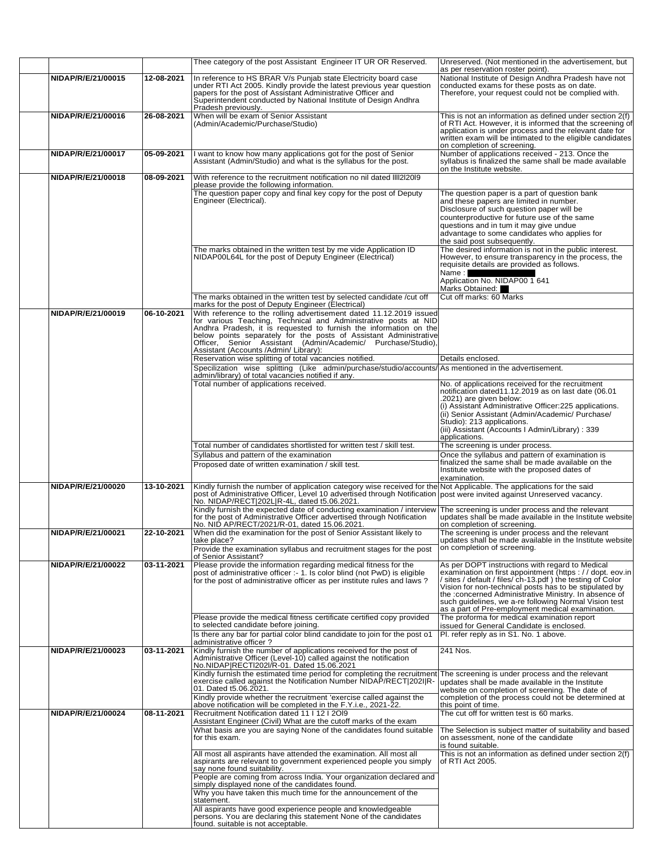|                    |            | Thee category of the post Assistant Engineer IT UR OR Reserved.                                                                                                                                                                                                                                | Unreserved. (Not mentioned in the advertisement, but                                                                                                                                                                                                                                                                                                                                                    |
|--------------------|------------|------------------------------------------------------------------------------------------------------------------------------------------------------------------------------------------------------------------------------------------------------------------------------------------------|---------------------------------------------------------------------------------------------------------------------------------------------------------------------------------------------------------------------------------------------------------------------------------------------------------------------------------------------------------------------------------------------------------|
| NIDAP/R/E/21/00015 | 12-08-2021 | In reference to HS BRAR V/s Punjab state Electricity board case                                                                                                                                                                                                                                | as per reservation roster point).<br>National Institute of Design Andhra Pradesh have not                                                                                                                                                                                                                                                                                                               |
|                    |            | under RTI Act 2005. Kindly provide the latest previous year question papers for the post of Assistant Administrative Officer and<br>Superintendent conducted by National Institute of Design Andhra<br>Pradesh previously.                                                                     | conducted exams for these posts as on date.<br>Therefore, your request could not be complied with.                                                                                                                                                                                                                                                                                                      |
| NIDAP/R/E/21/00016 | 26-08-2021 | When will be exam of Senior Assistant<br>(Admin/Academic/Purchase/Studio)                                                                                                                                                                                                                      | This is not an information as defined under section 2(f)<br>of RTI Act. However, it is informed that the screening of<br>application is under process and the relevant date for<br>written exam will be intimated to the eligible candidates<br>on completion of screening.                                                                                                                             |
| NIDAP/R/E/21/00017 | 05-09-2021 | I want to know how many applications got for the post of Senior<br>Assistant (Admin/Studio) and what is the syllabus for the post.                                                                                                                                                             | Number of applications received - 213. Once the<br>syllabus is finalized the same shall be made available<br>on the Institute website.                                                                                                                                                                                                                                                                  |
| NIDAP/R/E/21/00018 | 08-09-2021 | With reference to the recruitment notification no nil dated IIII2I20I9<br>please provide the following information.                                                                                                                                                                            |                                                                                                                                                                                                                                                                                                                                                                                                         |
|                    |            | The question paper copy and final key copy for the post of Deputy<br>Engineer (Electrical).                                                                                                                                                                                                    | The question paper is a part of question bank<br>and these papers are limited in number.<br>Disclosure of such question paper will be<br>counterproductive for future use of the same<br>questions and in tum it may give undue<br>advantage to some candidates who applies for<br>the said post subsequently.                                                                                          |
|                    |            | The marks obtained in the written test by me vide Application ID<br>NIDAP00L64L for the post of Deputy Engineer (Electrical)                                                                                                                                                                   | The desired information is not in the public interest.<br>However, to ensure transparency in the process, the<br>requisite details are provided as follows.<br>Name:<br>Application No. NIDAP00 1 641                                                                                                                                                                                                   |
|                    |            | The marks obtained in the written test by selected candidate /cut off                                                                                                                                                                                                                          | Marks Obtained:<br>Cut off marks: 60 Marks                                                                                                                                                                                                                                                                                                                                                              |
| NIDAP/R/E/21/00019 | 06-10-2021 | marks for the post of Deputy Engineer (Electrical)<br>With reference to the rolling advertisement dated 11.12.2019 issued<br>for various Teaching, Technical and Administrative posts at NID<br>Andhra Pradesh, it is requested to furnish the information on the                              |                                                                                                                                                                                                                                                                                                                                                                                                         |
|                    |            | below points separately for the posts of Assistant Administrative<br>Officer, Senior Assistant (Admin/Academic/ Purchase/Studio),<br>Assistant (Accounts /Admin/ Library):                                                                                                                     |                                                                                                                                                                                                                                                                                                                                                                                                         |
|                    |            | Reservation wise splitting of total vacancies notified.<br>Specilization wise splitting (Like admin/purchase/studio/accounts/As mentioned in the advertisement.                                                                                                                                | Details enclosed.                                                                                                                                                                                                                                                                                                                                                                                       |
|                    |            | admin/library) of total vacancies notified if any.<br>Total number of applications received.                                                                                                                                                                                                   | No. of applications received for the recruitment                                                                                                                                                                                                                                                                                                                                                        |
|                    |            |                                                                                                                                                                                                                                                                                                | notification dated11.12.2019 as on last date (06.01<br>.2021) are given below:<br>(i) Assistant Administrative Officer:225 applications.<br>(ii) Senior Assistant (Admin/Academic/ Purchase/<br>Studio): 213 applications.<br>(iii) Assistant (Accounts I Admin/Library) : 339<br>applications.                                                                                                         |
|                    |            | Total number of candidates shortlisted for written test / skill test.                                                                                                                                                                                                                          | The screening is under process.                                                                                                                                                                                                                                                                                                                                                                         |
|                    |            | Syllabus and pattern of the examination<br>Proposed date of written examination / skill test.                                                                                                                                                                                                  | Once the syllabus and pattern of examination is<br>finalized the same shall be made available on the<br>Institute website with the proposed dates of<br>examination.                                                                                                                                                                                                                                    |
| NIDAP/R/E/21/00020 | 13-10-2021 | Kindly furnish the number of application category wise received for the Not Applicable. The applications for the said<br>post of Administrative Officer, Level 10 advertised through Notification post were invited against Unreserved vacancy.<br>No. NIDAP/RECT 202L R-4L, dated t5.06.2021. |                                                                                                                                                                                                                                                                                                                                                                                                         |
|                    |            | Kindly furnish the expected date of conducting examination / interview<br>for the post of Administrative Officer advertised through Notification<br>No. NID AP/RECT/2021/R-01, dated 15.06.2021.                                                                                               | The screening is under process and the relevant<br>updates shall be made available in the Institute website<br>on completion of screening.                                                                                                                                                                                                                                                              |
| NIDAP/R/E/21/00021 | 22-10-2021 | When did the examination for the post of Senior Assistant likely to<br>take place?<br>Provide the examination syllabus and recruitment stages for the post<br>of Senior Assistant?                                                                                                             | The screening is under process and the relevant<br>updates shall be made available in the Institute website<br>on completion of screening.                                                                                                                                                                                                                                                              |
| NIDAP/R/E/21/00022 | 03-11-2021 | Please provide the information regarding medical fitness for the<br>post of administrative officer :- 1. Is color blind (not PwD) is eligible<br>for the post of administrative officer as per institute rules and laws?                                                                       | As per DOPT instructions with regard to Medical<br>examination on first appointment (https://dopt.eov.in<br>/ sites / default / files/ ch-13.pdf ) the testing of Color<br>Vision for non-technical posts has to be stipulated by<br>the :concerned Administrative Ministry. In absence of<br>such quidelines, we a-re following Normal Vision test<br>as a part of Pre-employment medical examination. |
|                    |            | Please provide the medical fitness certificate certified copy provided<br>to selected candidate before joining.                                                                                                                                                                                | The proforma for medical examination report<br>issued for General Candidate is enclosed.                                                                                                                                                                                                                                                                                                                |
|                    |            | Is there any bar for partial color blind candidate to join for the post o1<br>administrative officer?                                                                                                                                                                                          | Pl. refer reply as in S1. No. 1 above.                                                                                                                                                                                                                                                                                                                                                                  |
| NIDAP/R/E/21/00023 | 03-11-2021 | Kindly furnish the number of applications received for the post of<br>Administrative Officer (Level-10) called against the notification<br>No.NIDAP RECTI202I/R-01. Dated 15.06.2021                                                                                                           | 241 Nos.                                                                                                                                                                                                                                                                                                                                                                                                |
|                    |            | Kindly furnish the estimated time period for completing the recruitment The screening is under process and the relevant<br>exercise called against the Notification Number NIDAP/RECT 202I R-<br>01. Dated t5.06.2021.<br>Kindly provide whether the recruitment 'exercise called against the  | updates shall be made available in the Institute<br>website on completion of screening. The date of<br>completion of the process could not be determined at                                                                                                                                                                                                                                             |
|                    |            | above notification will be completed in the F.Y.i.e., 2021-22.                                                                                                                                                                                                                                 | this point of time.                                                                                                                                                                                                                                                                                                                                                                                     |
| NIDAP/R/E/21/00024 | 08-11-2021 | Recruitment Notification dated 11   12   20 9<br>Assistant Engineer (Civil) What are the cutoff marks of the exam                                                                                                                                                                              | The cut off for written test is 60 marks.                                                                                                                                                                                                                                                                                                                                                               |
|                    |            |                                                                                                                                                                                                                                                                                                | The Selection is subject matter of suitability and based                                                                                                                                                                                                                                                                                                                                                |
|                    |            | What basis are you are saying None of the candidates found suitable<br>for this exam.                                                                                                                                                                                                          | on assessment, none of the candidate<br>is found suitable.                                                                                                                                                                                                                                                                                                                                              |
|                    |            | All most all aspirants have attended the examination. All most all<br>aspirants are relevant to government experienced people you simply<br>say none found suitability.                                                                                                                        | This is not an information as defined under section 2(f)<br>of RTI Act 2005.                                                                                                                                                                                                                                                                                                                            |
|                    |            | People are coming from across India. Your organization declared and<br>simply displayed none of the candidates found.                                                                                                                                                                          |                                                                                                                                                                                                                                                                                                                                                                                                         |
|                    |            | Why you have taken this much time for the announcement of the<br>statement.<br>All aspirants have good experience people and knowledgeable                                                                                                                                                     |                                                                                                                                                                                                                                                                                                                                                                                                         |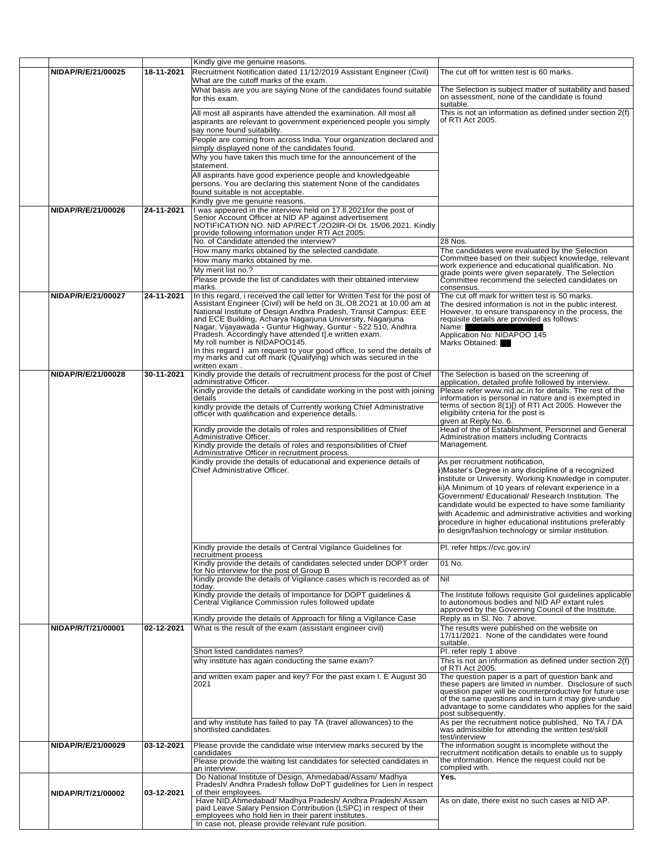| NIDAP/R/E/21/00025 | 18-11-2021 | Kindly give me genuine reasons.                                                                                                                     | The cut off for written test is 60 marks.                                                                         |
|--------------------|------------|-----------------------------------------------------------------------------------------------------------------------------------------------------|-------------------------------------------------------------------------------------------------------------------|
|                    |            | Recruitment Notification dated 11/12/2019 Assistant Engineer (Civil)<br>What are the cutoff marks of the exam.                                      |                                                                                                                   |
|                    |            | What basis are you are saying None of the candidates found suitable                                                                                 | The Selection is subject matter of suitability and based                                                          |
|                    |            | for this exam.                                                                                                                                      | on assessment, none of the candidate is found                                                                     |
|                    |            |                                                                                                                                                     | suitable.<br>This is not an information as defined under section 2(f)                                             |
|                    |            | All most all aspirants have attended the examination. All most all<br>aspirants are relevant to government experienced people you simply            | of RTI Act 2005.                                                                                                  |
|                    |            | say none found suitability.                                                                                                                         |                                                                                                                   |
|                    |            | People are coming from across India. Your organization declared and                                                                                 |                                                                                                                   |
|                    |            | simply displayed none of the candidates found.                                                                                                      |                                                                                                                   |
|                    |            | Why you have taken this much time for the announcement of the                                                                                       |                                                                                                                   |
|                    |            | statement.<br>All aspirants have good experience people and knowledgeable                                                                           |                                                                                                                   |
|                    |            | persons. You are declaring this statement None of the candidates                                                                                    |                                                                                                                   |
|                    |            | found suitable is not acceptable.                                                                                                                   |                                                                                                                   |
|                    |            | Kindly give me genuine reasons.                                                                                                                     |                                                                                                                   |
| NIDAP/R/E/21/00026 | 24-11-2021 | was appeared in the interview held on 17.II.2021for the post of                                                                                     |                                                                                                                   |
|                    |            | Senior Account Officer at NID AP against advertisement<br>NOTIFICATION NO. NID AP/RECT./202IIR-OI Dt. 15/06.2021. Kindly                            |                                                                                                                   |
|                    |            | provide following information under RTI Act 2005:                                                                                                   |                                                                                                                   |
|                    |            | No. of Candidate attended the interview?<br>How many marks obtained by the selected candidate.                                                      | 28 Nos.<br>The candidates were evaluated by the Selection                                                         |
|                    |            | How many marks obtained by me.                                                                                                                      | Committee based on their subject knowledge, relevant                                                              |
|                    |            | My merit list no.?                                                                                                                                  | work experience and educational qualification. No                                                                 |
|                    |            | Please provide the list of candidates with their obtained interview                                                                                 | grade points were given separately. The Selection<br>Committee recommend the selected candidates on               |
|                    |            | marks.                                                                                                                                              | consensus.                                                                                                        |
| NIDAP/R/E/21/00027 | 24-11-2021 | In this regard, i received the call letter for Written Test for the post of<br>Assistant Engineer (Civil) will be held on 3L.08.2021 at 10.00 am at | The cut off mark for written test is 50 marks.<br>The desired information is not in the public interest.          |
|                    |            | National Institute of Design Andhra Pradesh, Transit Campus: EEE                                                                                    | However, to ensure transparency in the process, the                                                               |
|                    |            | and ECE Building, Acharya Nagarjuna University, Nagarjuna                                                                                           | requisite details are provided as follows:                                                                        |
|                    |            | Nagar, Vijayawada - Guntur Highway, Guntur - 522 510, Andhra<br>Pradesh. Accordingly have attended t],e written exam.                               | Name:<br>Application No: NIDAPOO 145                                                                              |
|                    |            | My roll number is NIDAPOO145.                                                                                                                       | Marks Obtained:                                                                                                   |
|                    |            | In this regard I am request to your good office, to send the details of                                                                             |                                                                                                                   |
|                    |            | my marks and cut off mark (Qualifying) which was secured in the<br>written exam.                                                                    |                                                                                                                   |
| NIDAP/R/E/21/00028 | 30-11-2021 | Kindly provide the details of recruitment process for the post of Chief                                                                             | The Selection is based on the screening of                                                                        |
|                    |            | administrative Officer.                                                                                                                             | application, detailed profile followed by interview.                                                              |
|                    |            | Kindly provide the details of candidate working in the post with joining<br>details                                                                 | Please refer www.nid.ac.in for details. The rest of the<br>information is personal in nature and is exempted in   |
|                    |            | kindly provide the details of Currently working Chief Administrative                                                                                | terms of section $8(1)$ [) of RTI Act 2005. However the                                                           |
|                    |            | officer with qualification and experience details.                                                                                                  | eligibility criteria for the post is<br>given at Reply No. 6.                                                     |
|                    |            | Kindly provide the details of roles and responsibilities of Chief                                                                                   | Head of the of Establishment, Personnel and General                                                               |
|                    |            | Administrative Officer.                                                                                                                             | Administration matters including Contracts                                                                        |
|                    |            | Kindly provide the details of roles and responsibilities of Chief<br>Administrative Officer in recruitment process.                                 | Management.                                                                                                       |
|                    |            | Kindly provide the details of educational and experience details of                                                                                 | As per recruitment notification,                                                                                  |
|                    |            | Chief Administrative Officer.                                                                                                                       | i)Master's Degree in any discipline of a recognized                                                               |
|                    |            |                                                                                                                                                     | institute or University. Working Knowledge in computer.                                                           |
|                    |            |                                                                                                                                                     | ii)A Minimum of 10 years of relevant experience in a<br>Government/ Educational/ Research Institution. The        |
|                    |            |                                                                                                                                                     | candidate would be expected to have some familiarity                                                              |
|                    |            |                                                                                                                                                     | with Academic and administrative activities and working                                                           |
|                    |            |                                                                                                                                                     | procedure in higher educational institutions preferably                                                           |
|                    |            |                                                                                                                                                     | in design/fashion technology or similar institution.                                                              |
|                    |            | Kindly provide the details of Central Vigilance Guidelines for                                                                                      | PI. refer https://cvc.gov.in/                                                                                     |
|                    |            | recruitment process<br>Kindly provide the details of candidates selected under DOPT order                                                           | 01 No.                                                                                                            |
|                    |            | for No interview for the post of Group B                                                                                                            |                                                                                                                   |
|                    |            | Kindly provide the details of Vigilance cases which is recorded as of                                                                               | Nil                                                                                                               |
|                    |            | today.<br>Kindly provide the details of Importance for DOPT guidelines &                                                                            | The Institute follows requisite Gol guidelines applicable                                                         |
|                    |            | Central Vigilance Commission rules followed update                                                                                                  | to autonomous bodies and NID AP extant rules                                                                      |
|                    |            | Kindly provide the details of Approach for filing a Vigilance Case                                                                                  | approved by the Governing Council of the Institute.<br>Reply as in SI. No. 7 above.                               |
| NIDAP/R/T/21/00001 | 02-12-2021 | What is the result of the exam (assistant engineer civil)                                                                                           | The results were published on the website on                                                                      |
|                    |            |                                                                                                                                                     | 17/11/2021. None of the candidates were found                                                                     |
|                    |            |                                                                                                                                                     | suitable.                                                                                                         |
|                    |            | Short listed candidates names?<br>why institute has again conducting the same exam?                                                                 | Pl. refer reply 1 above<br>This is not an information as defined under section 2(f)                               |
|                    |            |                                                                                                                                                     | of RTI Act 2005.                                                                                                  |
|                    |            | and written exam paper and key? For the past exam I. E August 30                                                                                    | The question paper is a part of question bank and                                                                 |
|                    |            | 2021                                                                                                                                                | these papers are limited in number. Disclosure of such<br>question paper will be counterproductive for future use |
|                    |            |                                                                                                                                                     | of the same questions and in turn it may give undue                                                               |
|                    |            |                                                                                                                                                     | advantage to some candidates who applies for the said<br>post subsequently.                                       |
|                    |            | and why institute has failed to pay TA (travel allowances) to the                                                                                   | As per the recruitment notice published, No TA / DA                                                               |
|                    |            | shortlisted candidates.                                                                                                                             | was admissible for attending the written test/skill<br>test/interview                                             |
| NIDAP/R/E/21/00029 | 03-12-2021 | Please provide the candidate wise interview marks secured by the                                                                                    | The information sought is incomplete without the                                                                  |
|                    |            | candidates                                                                                                                                          | recruitment notification details to enable us to supply                                                           |
|                    |            | Please provide the waiting list candidates for selected candidates in<br>an interview.                                                              | the information. Hence the request could not be<br>complied with.                                                 |
|                    |            | Do National Institute of Design, Ahmedabad/Assam/ Madhya                                                                                            | Yes.                                                                                                              |
|                    |            | Pradesh/ Andhra Pradesh follow DoPT guidelines for Lien in respect                                                                                  |                                                                                                                   |
| NIDAP/R/T/21/00002 | 03-12-2021 | of their employees.<br>Have NID, Ahmedabad/ Madhya Pradesh/ Andhra Pradesh/ Assam                                                                   | As on date, there exist no such cases at NID AP.                                                                  |
|                    |            | paid Leave Salary Pension Contribution (LSPC) in respect of their                                                                                   |                                                                                                                   |
|                    |            | employees who hold lien in their parent institutes.                                                                                                 |                                                                                                                   |
|                    |            | In case not, please provide relevant rule position.                                                                                                 |                                                                                                                   |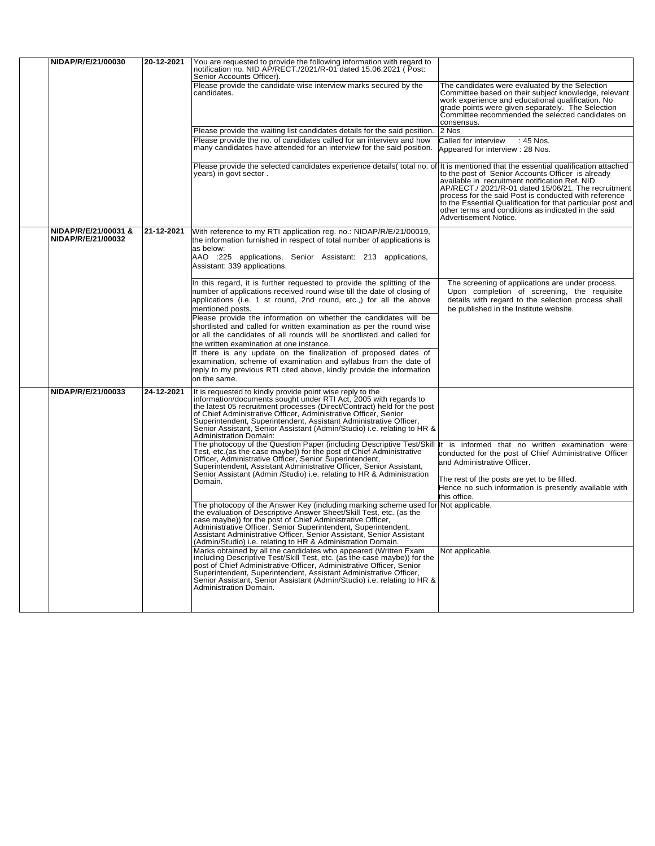| NIDAP/R/E/21/00030                         | 20-12-2021 | You are requested to provide the following information with regard to notification no. NID AP/RECT./2021/R-01 dated 15.06.2021 (Post:<br>Senior Accounts Officer).                                                                                                                                                                                                                                                                                                                                                                                                                                                                                                                                                                           |                                                                                                                                                                                                                                                                                                                                                                    |
|--------------------------------------------|------------|----------------------------------------------------------------------------------------------------------------------------------------------------------------------------------------------------------------------------------------------------------------------------------------------------------------------------------------------------------------------------------------------------------------------------------------------------------------------------------------------------------------------------------------------------------------------------------------------------------------------------------------------------------------------------------------------------------------------------------------------|--------------------------------------------------------------------------------------------------------------------------------------------------------------------------------------------------------------------------------------------------------------------------------------------------------------------------------------------------------------------|
|                                            |            | Please provide the candidate wise interview marks secured by the<br>candidates.                                                                                                                                                                                                                                                                                                                                                                                                                                                                                                                                                                                                                                                              | The candidates were evaluated by the Selection<br>Committee based on their subject knowledge, relevant<br>work experience and educational qualification. No<br>grade points were given separately. The Selection<br>Committee recommended the selected candidates on<br>consensus.                                                                                 |
|                                            |            | Please provide the waiting list candidates details for the said position.                                                                                                                                                                                                                                                                                                                                                                                                                                                                                                                                                                                                                                                                    | 2 Nos                                                                                                                                                                                                                                                                                                                                                              |
|                                            |            | Please provide the no. of candidates called for an interview and how<br>many candidates have attended for an interview for the said position.                                                                                                                                                                                                                                                                                                                                                                                                                                                                                                                                                                                                | Called for interview<br>: 45 Nos.<br>Appeared for interview: 28 Nos.                                                                                                                                                                                                                                                                                               |
|                                            |            | Please provide the selected candidates experience details (total no. of It is mentioned that the essential qualification attached<br>years) in govt sector.                                                                                                                                                                                                                                                                                                                                                                                                                                                                                                                                                                                  | to the post of Senior Accounts Officer is already<br>available in recruitment notification Ref. NID<br>AP/RECT./ 2021/R-01 dated 15/06/21. The recruitment<br>process for the said Post is conducted with reference<br>to the Essential Qualification for that particular post and<br>other terms and conditions as indicated in the said<br>Advertisement Notice. |
| NIDAP/R/E/21/00031 &<br>NIDAP/R/E/21/00032 | 21-12-2021 | With reference to my RTI application reg. no.: NIDAP/R/E/21/00019,<br>the information furnished in respect of total number of applications is<br>as below:<br>AAO :225 applications, Senior Assistant: 213 applications,<br>Assistant: 339 applications.                                                                                                                                                                                                                                                                                                                                                                                                                                                                                     |                                                                                                                                                                                                                                                                                                                                                                    |
|                                            |            | In this regard, it is further requested to provide the splitting of the<br>number of applications received round wise till the date of closing of<br>applications (i.e. 1 st round, 2nd round, etc.,) for all the above<br>mentioned posts.<br>Please provide the information on whether the candidates will be<br>shortlisted and called for written examination as per the round wise<br>or all the candidates of all rounds will be shortlisted and called for<br>the written examination at one instance.<br>If there is any update on the finalization of proposed dates of<br>examination, scheme of examination and syllabus from the date of<br>reply to my previous RTI cited above, kindly provide the information<br>on the same. | The screening of applications are under process.<br>Upon completion of screening, the requisite<br>details with regard to the selection process shall<br>be published in the Institute website.                                                                                                                                                                    |
| NIDAP/R/E/21/00033                         | 24-12-2021 | It is requested to kindly provide point wise reply to the<br>information/documents sought under RTI Act, 2005 with regards to<br>the latest 05 recruitment processes (Direct/Contract) held for the post<br>of Chief Administrative Officer, Administrative Officer, Senior<br>Superintendent, Superintendent, Assistant Administrative Officer,<br>Senior Assistant, Senior Assistant (Admin/Studio) i.e. relating to HR &<br><b>Administration Domain:</b>                                                                                                                                                                                                                                                                                 |                                                                                                                                                                                                                                                                                                                                                                    |
|                                            |            | The photocopy of the Question Paper (including Descriptive Test/Skill  t is informed that no written examination were<br>Test, etc. (as the case maybe)) for the post of Chief Administrative<br>Officer, Administrative Officer, Senior Superintendent,<br>Superintendent, Assistant Administrative Officer, Senior Assistant,<br>Senior Assistant (Admin /Studio) i.e. relating to HR & Administration<br>Domain.                                                                                                                                                                                                                                                                                                                          | conducted for the post of Chief Administrative Officer<br>and Administrative Officer.<br>The rest of the posts are yet to be filled.<br>Hence no such information is presently available with<br>this office.                                                                                                                                                      |
|                                            |            | The photocopy of the Answer Key (including marking scheme used for Not applicable.<br>the evaluation of Descriptive Answer Sheet/Skill Test, etc. (as the<br>case maybe)) for the post of Chief Administrative Officer,<br>Administrative Officer, Senior Superintendent, Superintendent,<br>Assistant Administrative Officer, Senior Assistant, Senior Assistant<br>(Admin/Studio) i.e. relating to HR & Administration Domain.                                                                                                                                                                                                                                                                                                             |                                                                                                                                                                                                                                                                                                                                                                    |
|                                            |            | Marks obtained by all the candidates who appeared (Written Exam<br>including Descriptive Test/Skill Test, etc. (as the case maybe)) for the<br>post of Chief Administrative Officer, Administrative Officer, Senior<br>Superintendent, Superintendent, Assistant Administrative Officer,<br>Senior Assistant, Senior Assistant (Admin/Studio) i.e. relating to HR &<br>Administration Domain.                                                                                                                                                                                                                                                                                                                                                | Not applicable.                                                                                                                                                                                                                                                                                                                                                    |